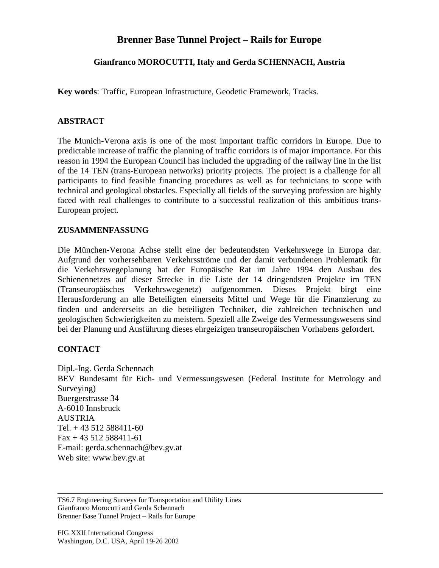# **Brenner Base Tunnel Project – Rails for Europe**

## **Gianfranco MOROCUTTI, Italy and Gerda SCHENNACH, Austria**

**Key words**: Traffic, European Infrastructure, Geodetic Framework, Tracks.

### **ABSTRACT**

The Munich-Verona axis is one of the most important traffic corridors in Europe. Due to predictable increase of traffic the planning of traffic corridors is of major importance. For this reason in 1994 the European Council has included the upgrading of the railway line in the list of the 14 TEN (trans-European networks) priority projects. The project is a challenge for all participants to find feasible financing procedures as well as for technicians to scope with technical and geological obstacles. Especially all fields of the surveying profession are highly faced with real challenges to contribute to a successful realization of this ambitious trans-European project.

#### **ZUSAMMENFASSUNG**

Die München-Verona Achse stellt eine der bedeutendsten Verkehrswege in Europa dar. Aufgrund der vorhersehbaren Verkehrsströme und der damit verbundenen Problematik für die Verkehrswegeplanung hat der Europäische Rat im Jahre 1994 den Ausbau des Schienennetzes auf dieser Strecke in die Liste der 14 dringendsten Projekte im TEN (Transeuropäisches Verkehrswegenetz) aufgenommen. Dieses Projekt birgt eine Herausforderung an alle Beteiligten einerseits Mittel und Wege für die Finanzierung zu finden und andererseits an die beteiligten Techniker, die zahlreichen technischen und geologischen Schwierigkeiten zu meistern. Speziell alle Zweige des Vermessungswesens sind bei der Planung und Ausführung dieses ehrgeizigen transeuropäischen Vorhabens gefordert.

## **CONTACT**

Dipl.-Ing. Gerda Schennach BEV Bundesamt für Eich- und Vermessungswesen (Federal Institute for Metrology and Surveying) Buergerstrasse 34 A-6010 Innsbruck AUSTRIA Tel. + 43 512 588411-60 Fax + 43 512 588411-61 E-mail: gerda.schennach@bev.gv.at Web site: www.bev.gv.at

TS6.7 Engineering Surveys for Transportation and Utility Lines Gianfranco Morocutti and Gerda Schennach Brenner Base Tunnel Project – Rails for Europe